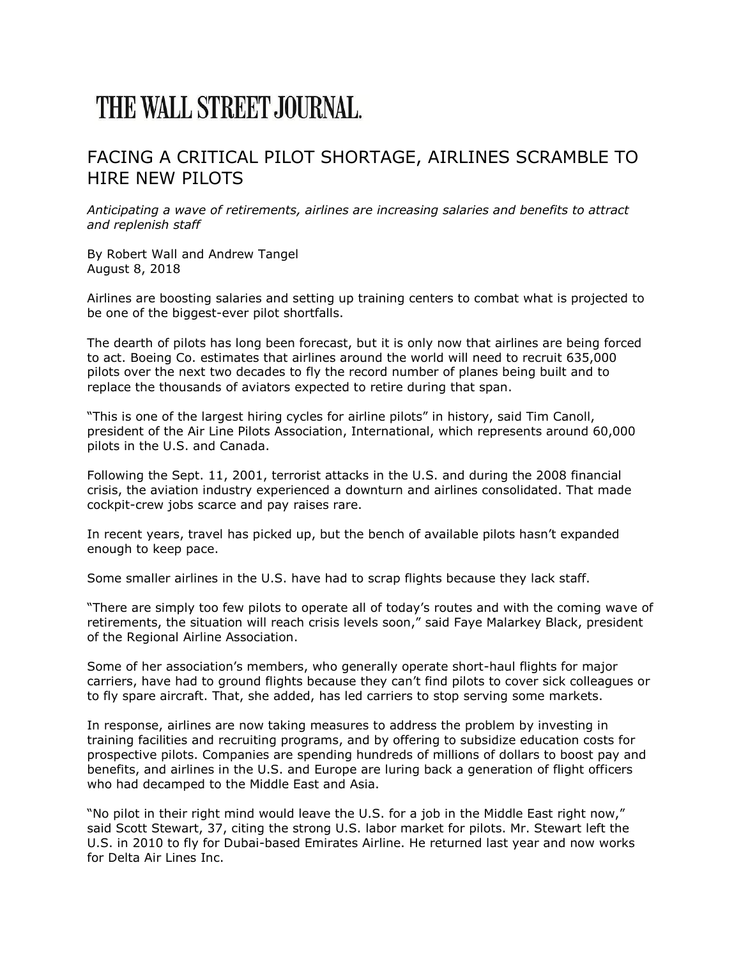## THE WALL STREET JOURNAL

## FACING A CRITICAL PILOT SHORTAGE, AIRLINES SCRAMBLE TO HIRE NEW PILOTS

*Anticipating a wave of retirements, airlines are increasing salaries and benefits to attract and replenish staff*

By Robert Wall and Andrew Tangel August 8, 2018

Airlines are boosting salaries and setting up training centers to combat what is projected to be one of the biggest-ever pilot shortfalls.

The dearth of pilots has long been forecast, but it is only now that airlines are being forced to act. Boeing Co. estimates that airlines around the world will need to recruit 635,000 pilots over the next two decades to fly the record number of planes being built and to replace the thousands of aviators expected to retire during that span.

"This is one of the largest hiring cycles for airline pilots" in history, said Tim Canoll, president of the Air Line Pilots Association, International, which represents around 60,000 pilots in the U.S. and Canada.

Following the Sept. 11, 2001, terrorist attacks in the U.S. and during the 2008 financial crisis, the aviation industry experienced a downturn and airlines consolidated. That made cockpit-crew jobs scarce and pay raises rare.

In recent years, travel has picked up, but the bench of available pilots hasn't expanded enough to keep pace.

Some smaller airlines in the U.S. have had to scrap flights because they lack staff.

"There are simply too few pilots to operate all of today's routes and with the coming wave of retirements, the situation will reach crisis levels soon," said Faye Malarkey Black, president of the Regional Airline Association.

Some of her association's members, who generally operate short-haul flights for major carriers, have had to ground flights because they can't find pilots to cover sick colleagues or to fly spare aircraft. That, she added, has led carriers to stop serving some markets.

In response, airlines are now taking measures to address the problem by investing in training facilities and recruiting programs, and by offering to subsidize education costs for prospective pilots. Companies are spending hundreds of millions of dollars to boost pay and benefits, and airlines in the U.S. and Europe are luring back a generation of flight officers who had decamped to the Middle East and Asia.

"No pilot in their right mind would leave the U.S. for a job in the Middle East right now," said Scott Stewart, 37, citing the strong U.S. labor market for pilots. Mr. Stewart left the U.S. in 2010 to fly for Dubai-based Emirates Airline. He returned last year and now works for Delta Air Lines Inc.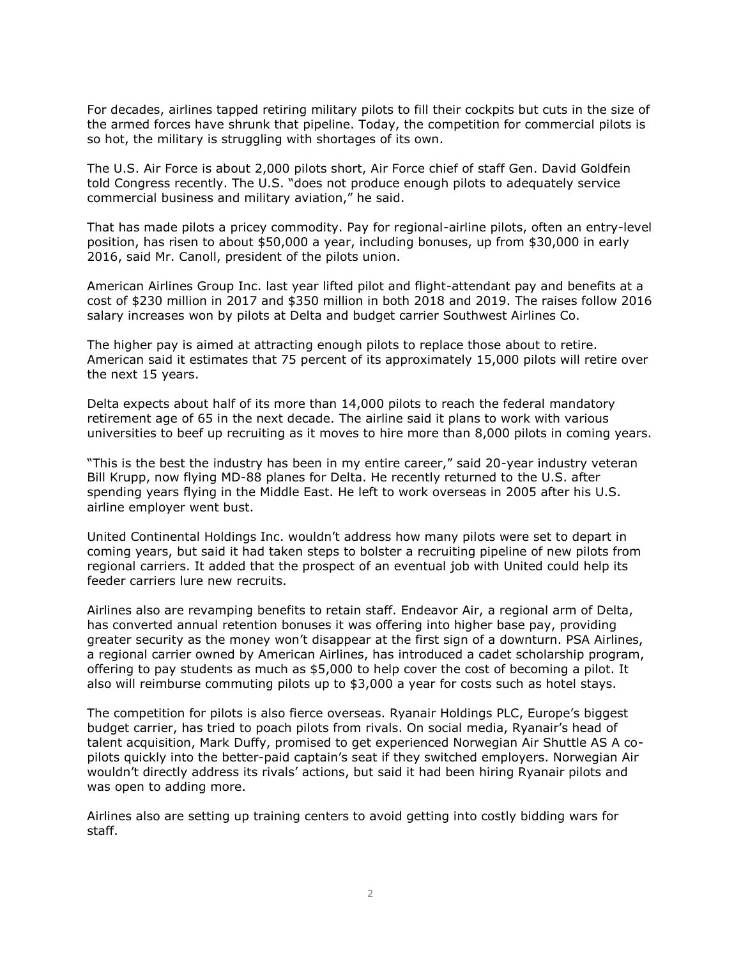For decades, airlines tapped retiring military pilots to fill their cockpits but cuts in the size of the armed forces have shrunk that pipeline. Today, the competition for commercial pilots is so hot, the military is struggling with shortages of its own.

The U.S. Air Force is about 2,000 pilots short, Air Force chief of staff Gen. David Goldfein told Congress recently. The U.S. "does not produce enough pilots to adequately service commercial business and military aviation," he said.

That has made pilots a pricey commodity. Pay for regional-airline pilots, often an entry-level position, has risen to about \$50,000 a year, including bonuses, up from \$30,000 in early 2016, said Mr. Canoll, president of the pilots union.

American Airlines Group Inc. last year lifted pilot and flight-attendant pay and benefits at a cost of \$230 million in 2017 and \$350 million in both 2018 and 2019. The raises follow 2016 salary increases won by pilots at Delta and budget carrier Southwest Airlines Co.

The higher pay is aimed at attracting enough pilots to replace those about to retire. American said it estimates that 75 percent of its approximately 15,000 pilots will retire over the next 15 years.

Delta expects about half of its more than 14,000 pilots to reach the federal mandatory retirement age of 65 in the next decade. The airline said it plans to work with various universities to beef up recruiting as it moves to hire more than 8,000 pilots in coming years.

"This is the best the industry has been in my entire career," said 20-year industry veteran Bill Krupp, now flying MD-88 planes for Delta. He recently returned to the U.S. after spending years flying in the Middle East. He left to work overseas in 2005 after his U.S. airline employer went bust.

United Continental Holdings Inc. wouldn't address how many pilots were set to depart in coming years, but said it had taken steps to bolster a recruiting pipeline of new pilots from regional carriers. It added that the prospect of an eventual job with United could help its feeder carriers lure new recruits.

Airlines also are revamping benefits to retain staff. Endeavor Air, a regional arm of Delta, has converted annual retention bonuses it was offering into higher base pay, providing greater security as the money won't disappear at the first sign of a downturn. PSA Airlines, a regional carrier owned by American Airlines, has introduced a cadet scholarship program, offering to pay students as much as \$5,000 to help cover the cost of becoming a pilot. It also will reimburse commuting pilots up to \$3,000 a year for costs such as hotel stays.

The competition for pilots is also fierce overseas. Ryanair Holdings PLC, Europe's biggest budget carrier, has tried to poach pilots from rivals. On social media, Ryanair's head of talent acquisition, Mark Duffy, promised to get experienced Norwegian Air Shuttle AS A copilots quickly into the better-paid captain's seat if they switched employers. Norwegian Air wouldn't directly address its rivals' actions, but said it had been hiring Ryanair pilots and was open to adding more.

Airlines also are setting up training centers to avoid getting into costly bidding wars for staff.